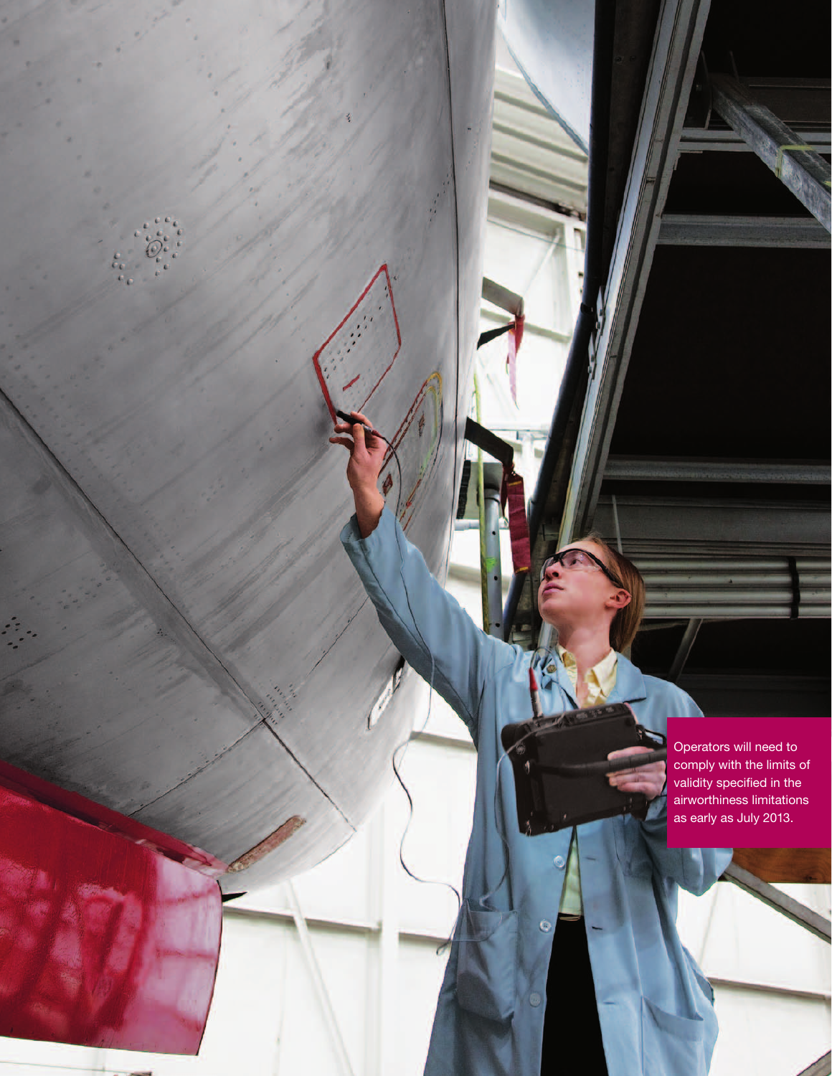Operators will need to comply with the limits of validity specified in the airworthiness limitations as early as July 2013.

Ó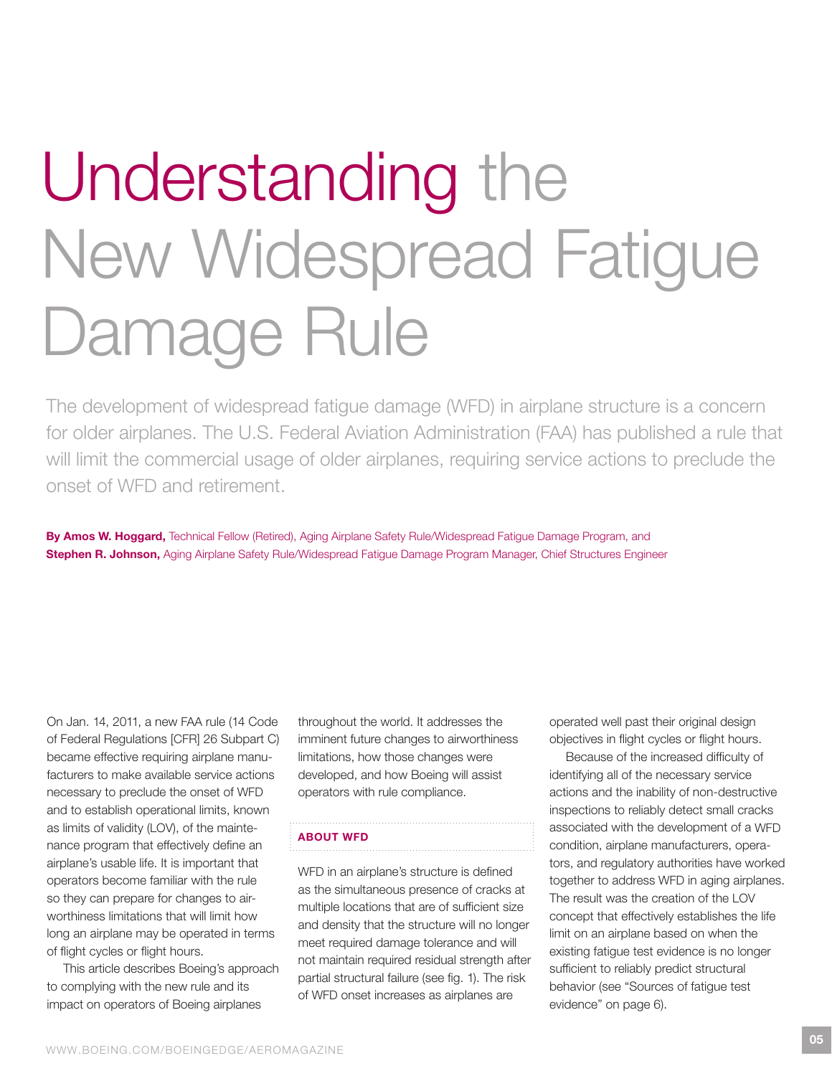# Understanding the New Widespread Fatigue Damage Rule

The development of widespread fatigue damage (WFD) in airplane structure is a concern for older airplanes. The U.S. Federal Aviation Administration (FAA) has published a rule that will limit the commercial usage of older airplanes, requiring service actions to preclude the onset of WFD and retirement.

By Amos W. Hoggard, Technical Fellow (Retired), Aging Airplane Safety Rule/Widespread Fatigue Damage Program, and Stephen R. Johnson, Aging Airplane Safety Rule/Widespread Fatigue Damage Program Manager, Chief Structures Engineer

On Jan. 14, 2011, a new FAA rule (14 Code of Federal Regulations [CFR] 26 Subpart C) became effective requiring airplane manufacturers to make available service actions necessary to preclude the onset of WFD and to establish operational limits, known as limits of validity (LOV), of the maintenance program that effectively define an airplane's usable life. It is important that operators become familiar with the rule so they can prepare for changes to airworthiness limitations that will limit how long an airplane may be operated in terms of flight cycles or flight hours.

This article describes Boeing's approach to complying with the new rule and its impact on operators of Boeing airplanes

throughout the world. It addresses the imminent future changes to airworthiness limitations, how those changes were developed, and how Boeing will assist operators with rule compliance.

# About wFD

WFD in an airplane's structure is defined as the simultaneous presence of cracks at multiple locations that are of sufficient size and density that the structure will no longer meet required damage tolerance and will not maintain required residual strength after partial structural failure (see fig. 1). The risk of WFD onset increases as airplanes are

operated well past their original design objectives in flight cycles or flight hours.

Because of the increased difficulty of identifying all of the necessary service actions and the inability of non-destructive inspections to reliably detect small cracks associated with the development of a WFD condition, airplane manufacturers, operators, and regulatory authorities have worked together to address WFD in aging airplanes. The result was the creation of the LOV concept that effectively establishes the life limit on an airplane based on when the existing fatigue test evidence is no longer sufficient to reliably predict structural behavior (see "Sources of fatigue test evidence" on page 6).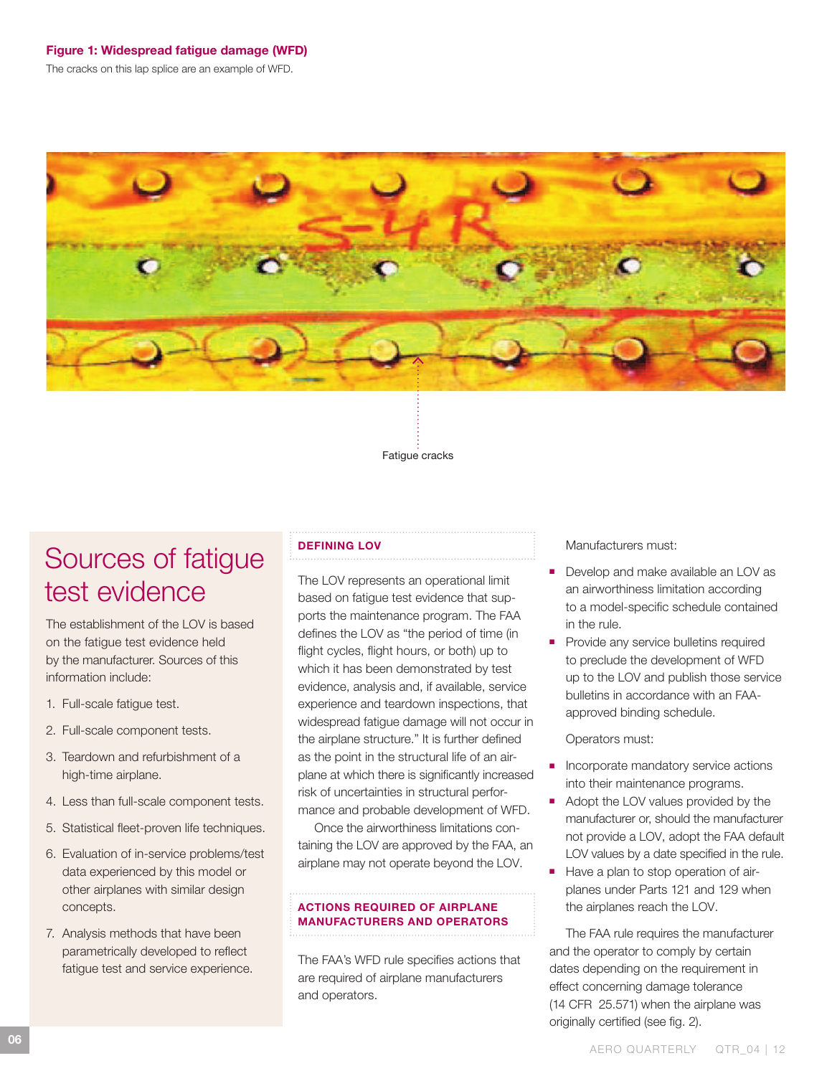# Figure 1: Widespread fatigue damage (WFD)

The cracks on this lap splice are an example of WFD.



Fatigue cracks

# Sources of fatigue test evidence

The establishment of the LOV is based on the fatigue test evidence held by the manufacturer. Sources of this information include:

- 1. Full-scale fatigue test.
- 2. Full-scale component tests.
- 3. Teardown and refurbishment of a high-time airplane.
- 4. Less than full-scale component tests.
- 5. Statistical fleet-proven life techniques.
- 6. Evaluation of in-service problems/test data experienced by this model or other airplanes with similar design concepts.
- 7. Analysis methods that have been parametrically developed to reflect fatigue test and service experience.

## Defining LOV

The LOV represents an operational limit based on fatigue test evidence that supports the maintenance program. The FAA defines the LOV as "the period of time (in flight cycles, flight hours, or both) up to which it has been demonstrated by test evidence, analysis and, if available, service experience and teardown inspections, that widespread fatigue damage will not occur in the airplane structure." It is further defined as the point in the structural life of an airplane at which there is significantly increased risk of uncertainties in structural performance and probable development of WFD.

Once the airworthiness limitations containing the LOV are approved by the FAA, an airplane may not operate beyond the LOV.

# Actions required of airplane **MANUFACTURERS AND OPERATORS**

The FAA's WFD rule specifies actions that are required of airplane manufacturers and operators.

Manufacturers must:

- Develop and make available an LOV as an airworthiness limitation according to a model-specific schedule contained in the rule.
- Provide any service bulletins required to preclude the development of WFD up to the LOV and publish those service bulletins in accordance with an FAAapproved binding schedule.

Operators must:

- Incorporate mandatory service actions into their maintenance programs.
- Adopt the LOV values provided by the manufacturer or, should the manufacturer not provide a LOV, adopt the FAA default LOV values by a date specified in the rule.
- Have a plan to stop operation of airplanes under Parts 121 and 129 when the airplanes reach the LOV.

The FAA rule requires the manufacturer and the operator to comply by certain dates depending on the requirement in effect concerning damage tolerance (14 CFR 25.571) when the airplane was originally certified (see fig. 2).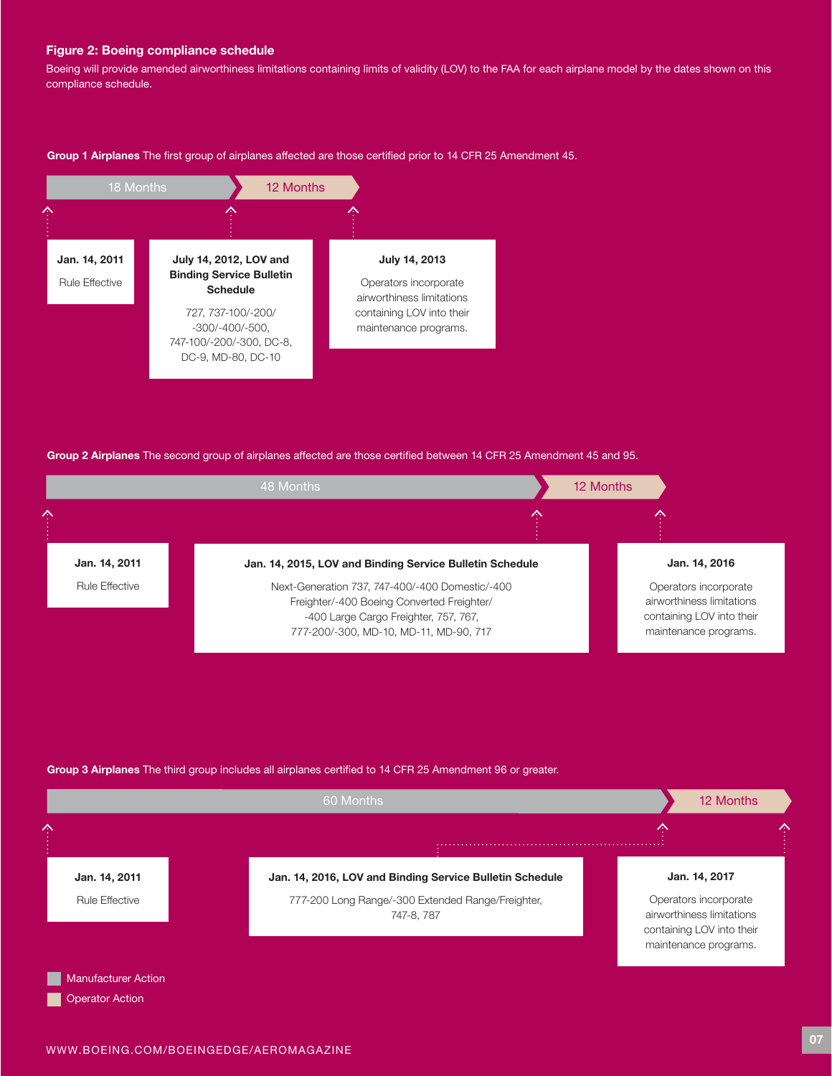#### Figure 2: Boeing compliance schedule

Boeing will provide amended airworthiness limitations containing limits of validity (LOV) to the FAA for each airplane model by the dates shown on this compliance schedule.

Group 1 Airplanes The first group of airplanes affected are those certified prior to 14 CFR 25 Amendment 45.



Group 2 Airplanes The second group of airplanes affected are those certified between 14 CFR 25 Amendment 45 and 95.



# Group 3 Airplanes The third group includes all airplanes certified to 14 CFR 25 Amendment 96 or greater.

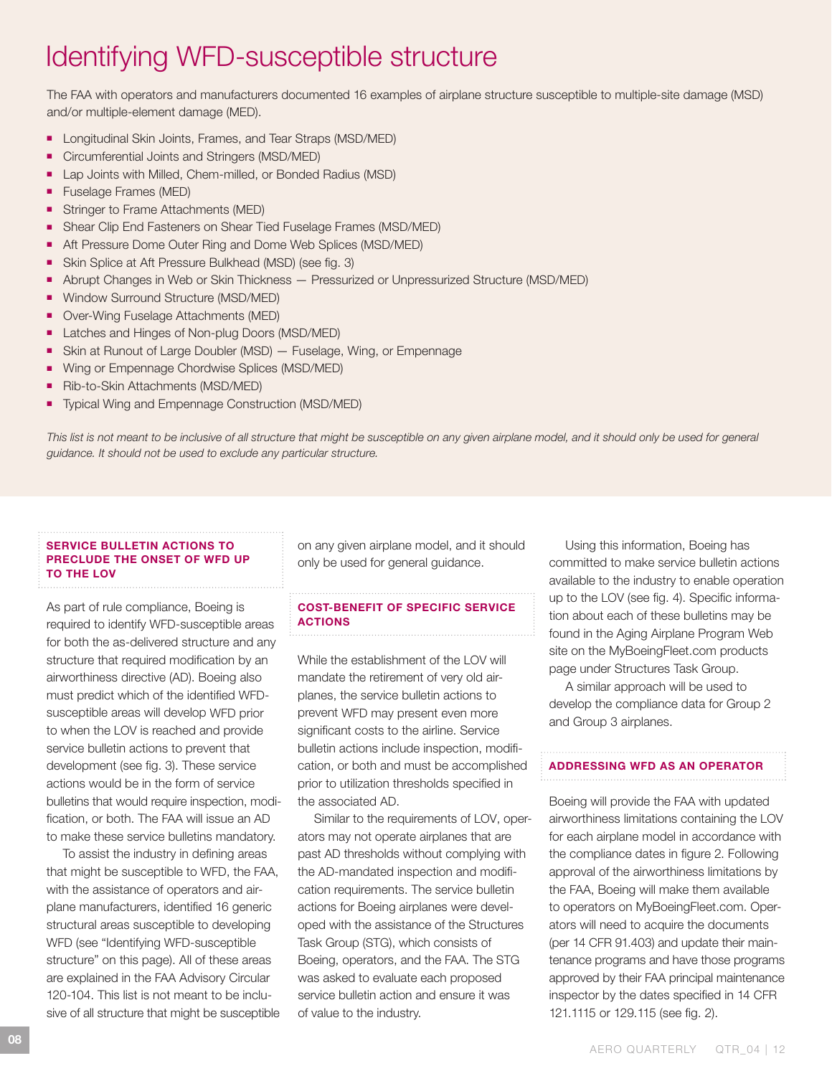# Identifying WFD-susceptible structure

The FAA with operators and manufacturers documented 16 examples of airplane structure susceptible to multiple-site damage (MSD) and/or multiple-element damage (MED).

- Longitudinal Skin Joints, Frames, and Tear Straps (MSD/MED)
- Circumferential Joints and Stringers (MSD/MED)
- Lap Joints with Milled, Chem-milled, or Bonded Radius (MSD)
- Fuselage Frames (MED)
- Stringer to Frame Attachments (MED)
- Shear Clip End Fasteners on Shear Tied Fuselage Frames (MSD/MED)
- Aft Pressure Dome Outer Ring and Dome Web Splices (MSD/MED)
- Skin Splice at Aft Pressure Bulkhead (MSD) (see fig. 3)
- Abrupt Changes in Web or Skin Thickness Pressurized or Unpressurized Structure (MSD/MED)
- Window Surround Structure (MSD/MED)
- Over-Wing Fuselage Attachments (MED)
- Latches and Hinges of Non-plug Doors (MSD/MED)
- Skin at Runout of Large Doubler (MSD) Fuselage, Wing, or Empennage
- Wing or Empennage Chordwise Splices (MSD/MED)
- Rib-to-Skin Attachments (MSD/MED)
- Typical Wing and Empennage Construction (MSD/MED)

This list is not meant to be inclusive of all structure that might be susceptible on any given airplane model, and it should only be used for general *guidance. It should not be used to exclude any particular structure.*

#### Service bulletin actions to preclude the onset of WFD up to the LOV

As part of rule compliance, Boeing is required to identify WFD-susceptible areas for both the as-delivered structure and any structure that required modification by an airworthiness directive (AD). Boeing also must predict which of the identified WFDsusceptible areas will develop WFD prior to when the LOV is reached and provide service bulletin actions to prevent that development (see fig. 3). These service actions would be in the form of service bulletins that would require inspection, modification, or both. The FAA will issue an AD to make these service bulletins mandatory.

To assist the industry in defining areas that might be susceptible to WFD, the FAA, with the assistance of operators and airplane manufacturers, identified 16 generic structural areas susceptible to developing WFD (see "Identifying WFD-susceptible structure" on this page). All of these areas are explained in the FAA Advisory Circular 120-104. This list is not meant to be inclusive of all structure that might be susceptible on any given airplane model, and it should only be used for general guidance.

# Cost-benefit of specific service **ACTIONS**

While the establishment of the LOV will mandate the retirement of very old airplanes, the service bulletin actions to prevent WFD may present even more significant costs to the airline. Service bulletin actions include inspection, modification, or both and must be accomplished prior to utilization thresholds specified in the associated AD.

Similar to the requirements of LOV, operators may not operate airplanes that are past AD thresholds without complying with the AD-mandated inspection and modification requirements. The service bulletin actions for Boeing airplanes were developed with the assistance of the Structures Task Group (STG), which consists of Boeing, operators, and the FAA. The STG was asked to evaluate each proposed service bulletin action and ensure it was of value to the industry.

Using this information, Boeing has committed to make service bulletin actions available to the industry to enable operation up to the LOV (see fig. 4). Specific information about each of these bulletins may be found in the Aging Airplane Program Web site on the MyBoeingFleet.com products page under Structures Task Group.

A similar approach will be used to develop the compliance data for Group 2 and Group 3 airplanes.

## Addressing WFD as an operator

Boeing will provide the FAA with updated airworthiness limitations containing the LOV for each airplane model in accordance with the compliance dates in figure 2. Following approval of the airworthiness limitations by the FAA, Boeing will make them available to operators on MyBoeingFleet.com. Operators will need to acquire the documents (per 14 CFR 91.403) and update their maintenance programs and have those programs approved by their FAA principal maintenance inspector by the dates specified in 14 CFR 121.1115 or 129.115 (see fig. 2).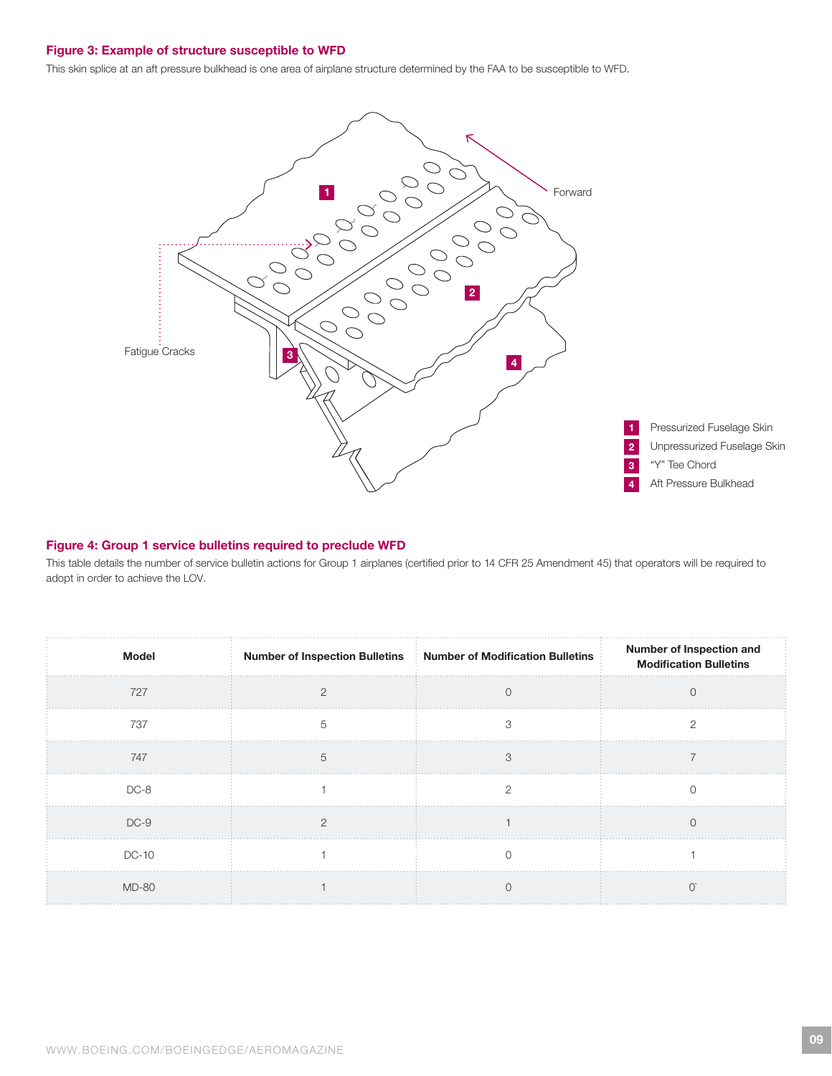#### Figure 3: Example of structure susceptible to WFD

This skin splice at an aft pressure bulkhead is one area of airplane structure determined by the FAA to be susceptible to WFD.



#### Figure 4: Group 1 service bulletins required to preclude WFD

This table details the number of service bulletin actions for Group 1 airplanes (certified prior to 14 CFR 25 Amendment 45) that operators will be required to adopt in order to achieve the LOV.

| <b>Model</b> | Number of Inspection Bulletins   Number of Modification Bulletins | <b>Number of Inspection and<br/>Modification Bulletins</b> |
|--------------|-------------------------------------------------------------------|------------------------------------------------------------|
| 727          |                                                                   |                                                            |
| 737          |                                                                   |                                                            |
| 747          |                                                                   |                                                            |
| $DC-8$       |                                                                   |                                                            |
| $DC-9$       |                                                                   |                                                            |
| <b>DC-10</b> |                                                                   |                                                            |
| <b>MD-80</b> |                                                                   |                                                            |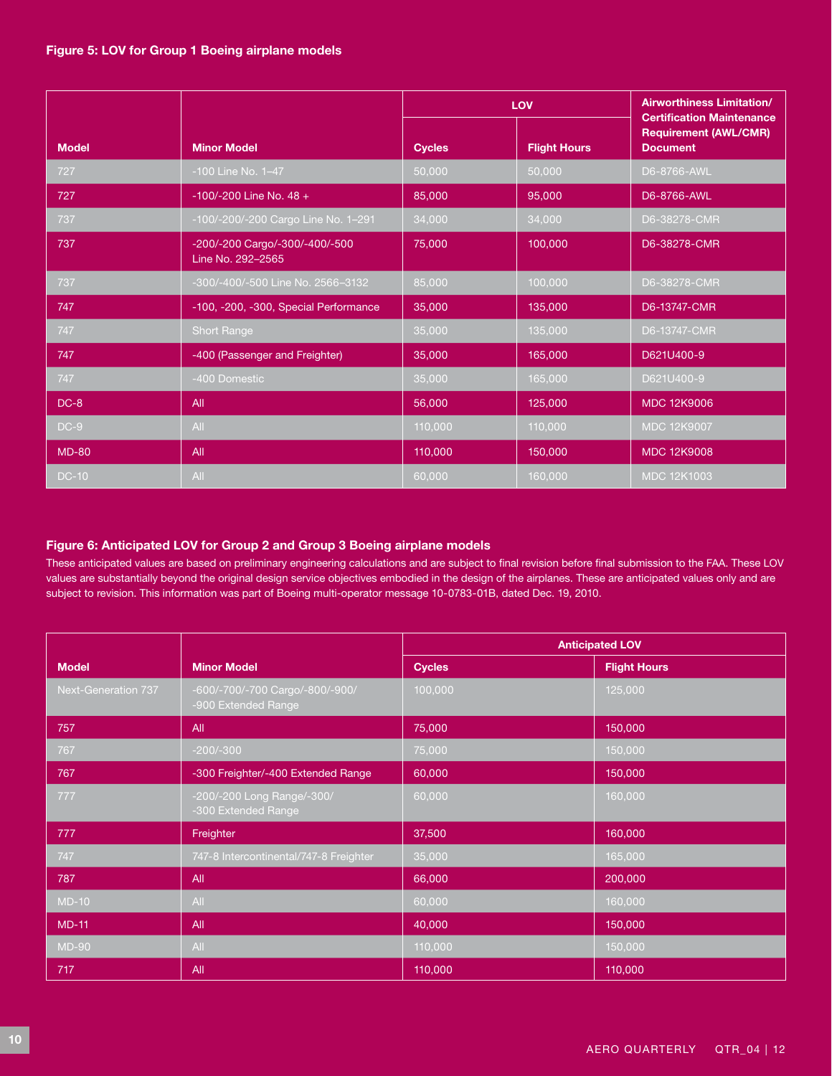|              |                                                     | LOV           |                     | <b>Airworthiness Limitation/</b><br><b>Certification Maintenance</b> |
|--------------|-----------------------------------------------------|---------------|---------------------|----------------------------------------------------------------------|
| <b>Model</b> | <b>Minor Model</b>                                  | <b>Cycles</b> | <b>Flight Hours</b> | <b>Requirement (AWL/CMR)</b><br><b>Document</b>                      |
| 727          | -100 Line No. 1-47                                  | 50,000        | 50,000              | D6-8766-AWL                                                          |
| 727          | $-100/-200$ Line No. 48 +                           | 85,000        | 95,000              | D6-8766-AWL                                                          |
| 737          | -100/-200/-200 Cargo Line No. 1-291                 | 34,000        | 34,000              | D6-38278-CMR                                                         |
| 737          | -200/-200 Cargo/-300/-400/-500<br>Line No. 292-2565 | 75,000        | 100,000             | D6-38278-CMR                                                         |
| 737          | -300/-400/-500 Line No. 2566-3132                   | 85,000        | 100.000             | D6-38278-CMR                                                         |
| 747          | -100, -200, -300, Special Performance               | 35,000        | 135,000             | D6-13747-CMR                                                         |
| 747          | <b>Short Range</b>                                  | 35,000        | 135.000             | D6-13747-CMR                                                         |
| 747          | -400 (Passenger and Freighter)                      | 35,000        | 165,000             | D621U400-9                                                           |
| 747          | -400 Domestic                                       | 35,000        | 165,000             | D621U400-9                                                           |
| $DC-8$       | All                                                 | 56,000        | 125,000             | <b>MDC 12K9006</b>                                                   |
| $DC-9$       | All                                                 | 110,000       | 110,000             | MDC 12K9007                                                          |
| $MD-80$      | <b>All</b>                                          | 110,000       | 150,000             | <b>MDC 12K9008</b>                                                   |
| <b>DC-10</b> | All                                                 | 60,000        | 160,000             | <b>MDC 12K1003</b>                                                   |

# Figure 6: Anticipated LOV for Group 2 and Group 3 Boeing airplane models

These anticipated values are based on preliminary engineering calculations and are subject to final revision before final submission to the FAA. These LOV values are substantially beyond the original design service objectives embodied in the design of the airplanes. These are anticipated values only and are subject to revision. This information was part of Boeing multi-operator message 10-0783-01B, dated Dec. 19, 2010.

|                     |                                                        | <b>Anticipated LOV</b> |                     |
|---------------------|--------------------------------------------------------|------------------------|---------------------|
| <b>Model</b>        | <b>Minor Model</b>                                     | <b>Cycles</b>          | <b>Flight Hours</b> |
| Next-Generation 737 | -600/-700/-700 Cargo/-800/-900/<br>-900 Extended Range | 100,000                | 125,000             |
| 757                 | All                                                    | 75,000                 | 150,000             |
| 767                 | $-200/-300$                                            | 75,000                 | 150,000             |
| 767                 | -300 Freighter/-400 Extended Range                     | 60,000                 | 150,000             |
| 777                 | -200/-200 Long Range/-300/<br>-300 Extended Range      | 60,000                 | 160,000             |
| 777                 | Freighter                                              | 37,500                 | 160,000             |
| 747                 | 747-8 Intercontinental/747-8 Freighter                 | 35,000                 | 165,000             |
| 787                 | All                                                    | 66,000                 | 200,000             |
| $MD-10$             | All                                                    | 60,000                 | 160,000             |
| $MD-11$             | All                                                    | 40,000                 | 150,000             |
| <b>MD-90</b>        | All                                                    | 110,000                | 150,000             |
| 717                 | All                                                    | 110,000                | 110,000             |